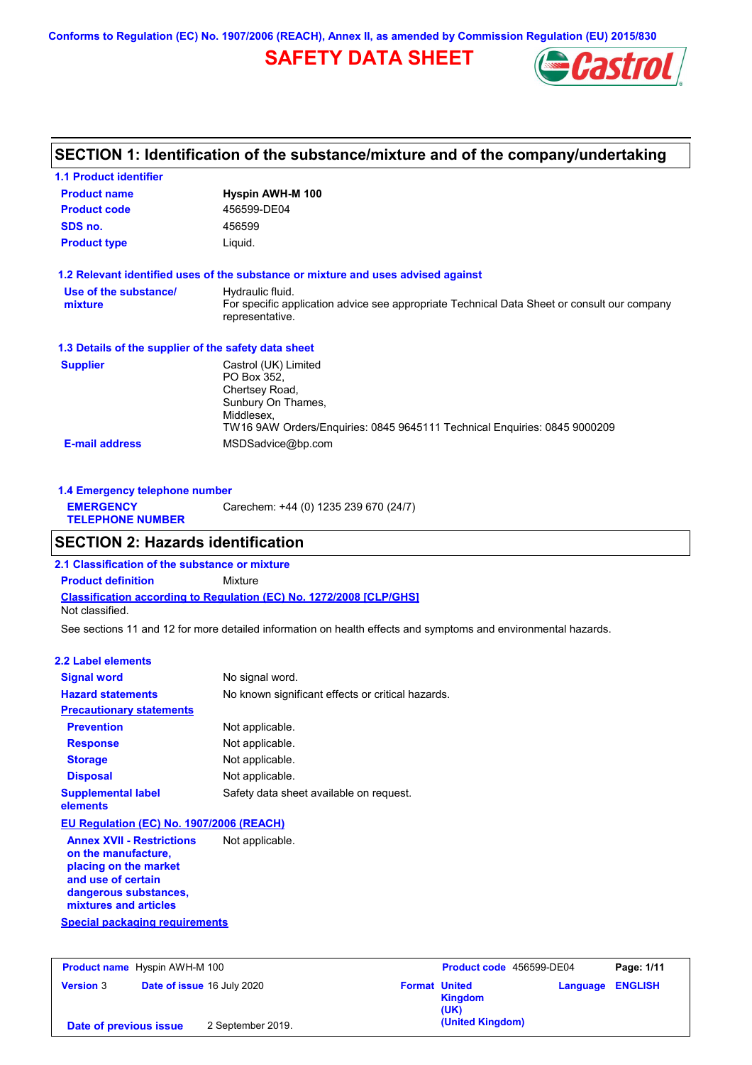**Conforms to Regulation (EC) No. 1907/2006 (REACH), Annex II, as amended by Commission Regulation (EU) 2015/830**

## **SAFETY DATA SHEET**



## **SECTION 1: Identification of the substance/mixture and of the company/undertaking**

| <b>1.1 Product identifier</b>                        |                                                                                                                |
|------------------------------------------------------|----------------------------------------------------------------------------------------------------------------|
| <b>Product name</b>                                  | Hyspin AWH-M 100                                                                                               |
| <b>Product code</b>                                  | 456599-DE04                                                                                                    |
| SDS no.                                              | 456599                                                                                                         |
| <b>Product type</b>                                  | Liquid.                                                                                                        |
|                                                      | 1.2 Relevant identified uses of the substance or mixture and uses advised against                              |
| Use of the substance/                                | Hydraulic fluid.                                                                                               |
| mixture                                              | For specific application advice see appropriate Technical Data Sheet or consult our company<br>representative. |
| 1.3 Details of the supplier of the safety data sheet |                                                                                                                |
| <b>Supplier</b>                                      | Castrol (UK) Limited                                                                                           |
|                                                      | PO Box 352.                                                                                                    |
|                                                      | Chertsey Road,                                                                                                 |
|                                                      | Sunbury On Thames,<br>Middlesex.                                                                               |
|                                                      | TW16 9AW Orders/Enquiries: 0845 9645111 Technical Enquiries: 0845 9000209                                      |
| <b>E-mail address</b>                                | MSDSadvice@bp.com                                                                                              |

| 1.4 Emergency telephone number              |                                       |  |
|---------------------------------------------|---------------------------------------|--|
| <b>EMERGENCY</b><br><b>TELEPHONE NUMBER</b> | Carechem: +44 (0) 1235 239 670 (24/7) |  |

### **SECTION 2: Hazards identification**

**Classification according to Regulation (EC) No. 1272/2008 [CLP/GHS] 2.1 Classification of the substance or mixture Product definition** Mixture Not classified.

See sections 11 and 12 for more detailed information on health effects and symptoms and environmental hazards.

### **2.2 Label elements**

| <b>Signal word</b>                                                                                                                                       | No signal word.                                   |
|----------------------------------------------------------------------------------------------------------------------------------------------------------|---------------------------------------------------|
| <b>Hazard statements</b>                                                                                                                                 | No known significant effects or critical hazards. |
| <b>Precautionary statements</b>                                                                                                                          |                                                   |
| <b>Prevention</b>                                                                                                                                        | Not applicable.                                   |
| <b>Response</b>                                                                                                                                          | Not applicable.                                   |
| <b>Storage</b>                                                                                                                                           | Not applicable.                                   |
| <b>Disposal</b>                                                                                                                                          | Not applicable.                                   |
| <b>Supplemental label</b><br>elements                                                                                                                    | Safety data sheet available on request.           |
| EU Regulation (EC) No. 1907/2006 (REACH)                                                                                                                 |                                                   |
| <b>Annex XVII - Restrictions</b><br>on the manufacture,<br>placing on the market<br>and use of certain<br>dangerous substances,<br>mixtures and articles | Not applicable.                                   |
| <b>Special packaging requirements</b>                                                                                                                    |                                                   |

| <b>Product name</b> Hyspin AWH-M 100 |                            |                                         | Product code 456599-DE04 |  |
|--------------------------------------|----------------------------|-----------------------------------------|--------------------------|--|
| <b>Version 3</b>                     | Date of issue 16 July 2020 | <b>Format United</b><br>Kingdom<br>(UK) | <b>Language ENGLISH</b>  |  |
| Date of previous issue               | 2 September 2019.          | (United Kingdom)                        |                          |  |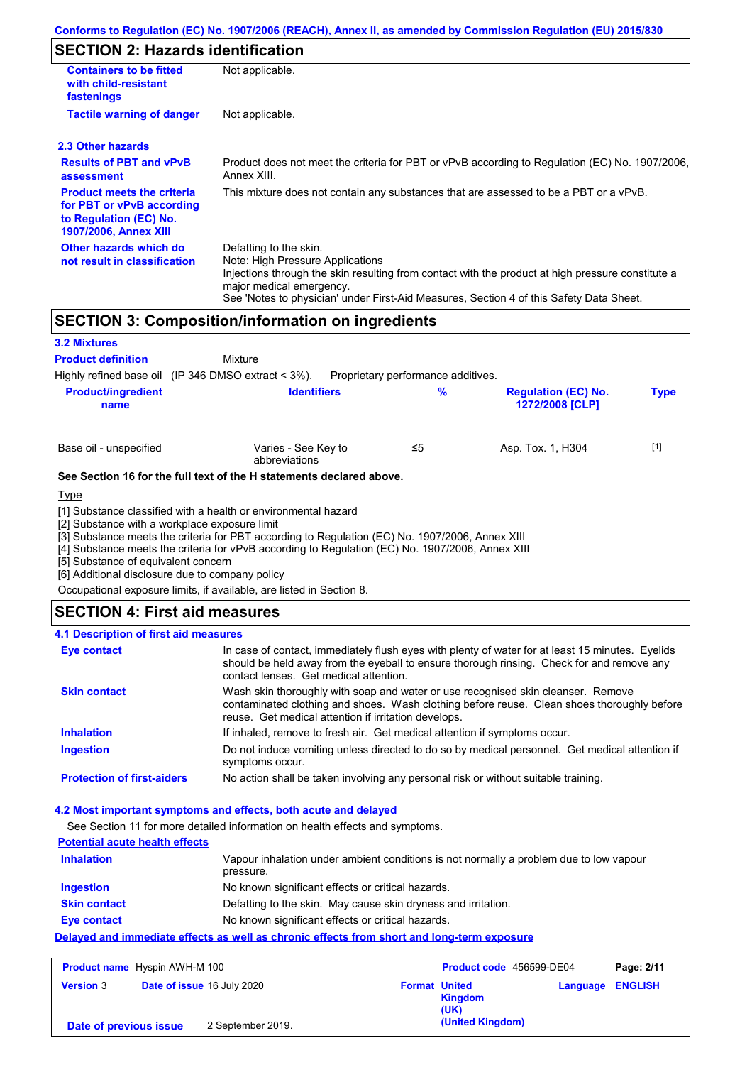# **SECTION 2: Hazards identification**

| <b>Containers to be fitted</b><br>with child-resistant<br>fastenings                                                     | Not applicable.                                                                                                                                                                                                                                                                        |  |  |  |
|--------------------------------------------------------------------------------------------------------------------------|----------------------------------------------------------------------------------------------------------------------------------------------------------------------------------------------------------------------------------------------------------------------------------------|--|--|--|
| <b>Tactile warning of danger</b>                                                                                         | Not applicable.                                                                                                                                                                                                                                                                        |  |  |  |
| 2.3 Other hazards                                                                                                        |                                                                                                                                                                                                                                                                                        |  |  |  |
| <b>Results of PBT and vPvB</b><br>assessment                                                                             | Product does not meet the criteria for PBT or vPvB according to Regulation (EC) No. 1907/2006.<br>Annex XIII.                                                                                                                                                                          |  |  |  |
| <b>Product meets the criteria</b><br>for PBT or vPvB according<br>to Regulation (EC) No.<br><b>1907/2006, Annex XIII</b> | This mixture does not contain any substances that are assessed to be a PBT or a vPvB.                                                                                                                                                                                                  |  |  |  |
| Other hazards which do<br>not result in classification                                                                   | Defatting to the skin.<br>Note: High Pressure Applications<br>Injections through the skin resulting from contact with the product at high pressure constitute a<br>major medical emergency.<br>See 'Notes to physician' under First-Aid Measures, Section 4 of this Safety Data Sheet. |  |  |  |

## **SECTION 3: Composition/information on ingredients**

| <b>3.2 Mixtures</b>                                   |                                                                                                                                                                   |                                    |                                               |             |
|-------------------------------------------------------|-------------------------------------------------------------------------------------------------------------------------------------------------------------------|------------------------------------|-----------------------------------------------|-------------|
| <b>Product definition</b>                             | Mixture                                                                                                                                                           |                                    |                                               |             |
| Highly refined base oil (IP 346 DMSO extract $<$ 3%). |                                                                                                                                                                   | Proprietary performance additives. |                                               |             |
| <b>Product/ingredient</b><br>name                     | <b>Identifiers</b>                                                                                                                                                | $\%$                               | <b>Regulation (EC) No.</b><br>1272/2008 [CLP] | <b>Type</b> |
|                                                       |                                                                                                                                                                   |                                    |                                               |             |
| Base oil - unspecified                                | Varies - See Key to<br>abbreviations                                                                                                                              | ≤5                                 | Asp. Tox. 1, H304                             | $[1]$       |
|                                                       | See Section 16 for the full text of the H statements declared above.                                                                                              |                                    |                                               |             |
| <u>Type</u>                                           |                                                                                                                                                                   |                                    |                                               |             |
| [2] Substance with a workplace exposure limit         | [1] Substance classified with a health or environmental hazard<br>[3] Substance meets the criteria for PBT according to Regulation (EC) No. 1907/2006, Annex XIII |                                    |                                               |             |
| F1.0.                                                 | [4] Substance meets the criteria for vPvB according to Regulation (EC) No. 1907/2006, Annex XIII                                                                  |                                    |                                               |             |

[5] Substance of equivalent concern

[6] Additional disclosure due to company policy

Occupational exposure limits, if available, are listed in Section 8.

### **SECTION 4: First aid measures**

### **4.1 Description of first aid measures**

| Eye contact                       | In case of contact, immediately flush eyes with plenty of water for at least 15 minutes. Eyelids<br>should be held away from the eyeball to ensure thorough rinsing. Check for and remove any<br>contact lenses. Get medical attention. |
|-----------------------------------|-----------------------------------------------------------------------------------------------------------------------------------------------------------------------------------------------------------------------------------------|
| <b>Skin contact</b>               | Wash skin thoroughly with soap and water or use recognised skin cleanser. Remove<br>contaminated clothing and shoes. Wash clothing before reuse. Clean shoes thoroughly before<br>reuse. Get medical attention if irritation develops.  |
| <b>Inhalation</b>                 | If inhaled, remove to fresh air. Get medical attention if symptoms occur.                                                                                                                                                               |
| <b>Ingestion</b>                  | Do not induce vomiting unless directed to do so by medical personnel. Get medical attention if<br>symptoms occur.                                                                                                                       |
| <b>Protection of first-aiders</b> | No action shall be taken involving any personal risk or without suitable training.                                                                                                                                                      |

### **4.2 Most important symptoms and effects, both acute and delayed**

See Section 11 for more detailed information on health effects and symptoms.

| <b>Potential acute health effects</b> |                                                                                                     |
|---------------------------------------|-----------------------------------------------------------------------------------------------------|
| <b>Inhalation</b>                     | Vapour inhalation under ambient conditions is not normally a problem due to low vapour<br>pressure. |
| Ingestion                             | No known significant effects or critical hazards.                                                   |
| <b>Skin contact</b>                   | Defatting to the skin. May cause skin dryness and irritation.                                       |
| Eye contact                           | No known significant effects or critical hazards.                                                   |
|                                       | Delayed and immediate effects as well as chronic effects from short and long-term exposure          |

| <b>Product name</b> Hyspin AWH-M 100 |                                   |                   | Product code 456599-DE04 |                        | Page: 2/11              |  |
|--------------------------------------|-----------------------------------|-------------------|--------------------------|------------------------|-------------------------|--|
| <b>Version 3</b>                     | <b>Date of issue 16 July 2020</b> |                   | <b>Format United</b>     | <b>Kingdom</b><br>(UK) | <b>Language ENGLISH</b> |  |
| Date of previous issue               |                                   | 2 September 2019. |                          | (United Kingdom)       |                         |  |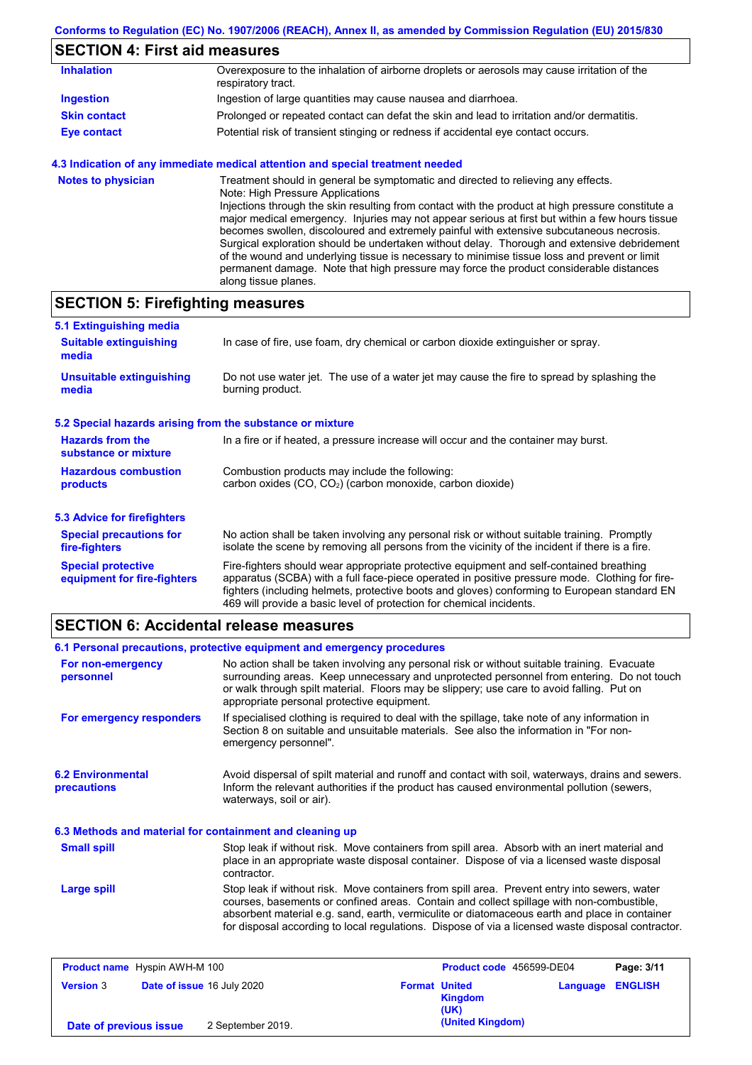## **SECTION 4: First aid measures**

| <b>Inhalation</b>   | Overexposure to the inhalation of airborne droplets or aerosols may cause irritation of the<br>respiratory tract. |
|---------------------|-------------------------------------------------------------------------------------------------------------------|
| Ingestion           | Ingestion of large quantities may cause nausea and diarrhoea.                                                     |
| <b>Skin contact</b> | Prolonged or repeated contact can defat the skin and lead to irritation and/or dermatitis.                        |
| <b>Eye contact</b>  | Potential risk of transient stinging or redness if accidental eye contact occurs.                                 |

### **4.3 Indication of any immediate medical attention and special treatment needed**

| <b>Notes to physician</b> | Treatment should in general be symptomatic and directed to relieving any effects.<br>Note: High Pressure Applications<br>Injections through the skin resulting from contact with the product at high pressure constitute a<br>major medical emergency. Injuries may not appear serious at first but within a few hours tissue<br>becomes swollen, discoloured and extremely painful with extensive subcutaneous necrosis.<br>Surgical exploration should be undertaken without delay. Thorough and extensive debridement<br>of the wound and underlying tissue is necessary to minimise tissue loss and prevent or limit<br>permanent damage. Note that high pressure may force the product considerable distances |
|---------------------------|--------------------------------------------------------------------------------------------------------------------------------------------------------------------------------------------------------------------------------------------------------------------------------------------------------------------------------------------------------------------------------------------------------------------------------------------------------------------------------------------------------------------------------------------------------------------------------------------------------------------------------------------------------------------------------------------------------------------|
|                           | along tissue planes.                                                                                                                                                                                                                                                                                                                                                                                                                                                                                                                                                                                                                                                                                               |

# **SECTION 5: Firefighting measures**

| 5.1 Extinguishing media                                                                                                    |                                                                                                                                                                                                                                                                                                                                                                   |  |  |
|----------------------------------------------------------------------------------------------------------------------------|-------------------------------------------------------------------------------------------------------------------------------------------------------------------------------------------------------------------------------------------------------------------------------------------------------------------------------------------------------------------|--|--|
| In case of fire, use foam, dry chemical or carbon dioxide extinguisher or spray.<br><b>Suitable extinguishing</b><br>media |                                                                                                                                                                                                                                                                                                                                                                   |  |  |
| <b>Unsuitable extinguishing</b><br>media                                                                                   | Do not use water jet. The use of a water jet may cause the fire to spread by splashing the<br>burning product.                                                                                                                                                                                                                                                    |  |  |
| 5.2 Special hazards arising from the substance or mixture                                                                  |                                                                                                                                                                                                                                                                                                                                                                   |  |  |
| <b>Hazards from the</b><br>substance or mixture                                                                            | In a fire or if heated, a pressure increase will occur and the container may burst.                                                                                                                                                                                                                                                                               |  |  |
| <b>Hazardous combustion</b><br>products                                                                                    | Combustion products may include the following:<br>carbon oxides (CO, CO <sub>2</sub> ) (carbon monoxide, carbon dioxide)                                                                                                                                                                                                                                          |  |  |
| 5.3 Advice for firefighters                                                                                                |                                                                                                                                                                                                                                                                                                                                                                   |  |  |
| <b>Special precautions for</b><br>fire-fighters                                                                            | No action shall be taken involving any personal risk or without suitable training. Promptly<br>isolate the scene by removing all persons from the vicinity of the incident if there is a fire.                                                                                                                                                                    |  |  |
| <b>Special protective</b><br>equipment for fire-fighters                                                                   | Fire-fighters should wear appropriate protective equipment and self-contained breathing<br>apparatus (SCBA) with a full face-piece operated in positive pressure mode. Clothing for fire-<br>fighters (including helmets, protective boots and gloves) conforming to European standard EN<br>469 will provide a basic level of protection for chemical incidents. |  |  |

## **SECTION 6: Accidental release measures**

|                                                          | 6.1 Personal precautions, protective equipment and emergency procedures                                                                                                                                                                                                                                                                                                                        |
|----------------------------------------------------------|------------------------------------------------------------------------------------------------------------------------------------------------------------------------------------------------------------------------------------------------------------------------------------------------------------------------------------------------------------------------------------------------|
| For non-emergency<br>personnel                           | No action shall be taken involving any personal risk or without suitable training. Evacuate<br>surrounding areas. Keep unnecessary and unprotected personnel from entering. Do not touch<br>or walk through spilt material. Floors may be slippery; use care to avoid falling. Put on<br>appropriate personal protective equipment.                                                            |
| For emergency responders                                 | If specialised clothing is required to deal with the spillage, take note of any information in<br>Section 8 on suitable and unsuitable materials. See also the information in "For non-<br>emergency personnel".                                                                                                                                                                               |
| <b>6.2 Environmental</b><br>precautions                  | Avoid dispersal of spilt material and runoff and contact with soil, waterways, drains and sewers.<br>Inform the relevant authorities if the product has caused environmental pollution (sewers,<br>waterways, soil or air).                                                                                                                                                                    |
| 6.3 Methods and material for containment and cleaning up |                                                                                                                                                                                                                                                                                                                                                                                                |
| <b>Small spill</b>                                       | Stop leak if without risk. Move containers from spill area. Absorb with an inert material and<br>place in an appropriate waste disposal container. Dispose of via a licensed waste disposal<br>contractor.                                                                                                                                                                                     |
| <b>Large spill</b>                                       | Stop leak if without risk. Move containers from spill area. Prevent entry into sewers, water<br>courses, basements or confined areas. Contain and collect spillage with non-combustible,<br>absorbent material e.g. sand, earth, vermiculite or diatomaceous earth and place in container<br>for disposal according to local regulations. Dispose of via a licensed waste disposal contractor. |

| <b>Product name</b> Hyspin AWH-M 100 |                            |                   |                      | Product code 456599-DE04 |                         | Page: 3/11 |
|--------------------------------------|----------------------------|-------------------|----------------------|--------------------------|-------------------------|------------|
| <b>Version 3</b>                     | Date of issue 16 July 2020 |                   | <b>Format United</b> | <b>Kingdom</b><br>(UK)   | <b>Language ENGLISH</b> |            |
| Date of previous issue               |                            | 2 September 2019. |                      | (United Kingdom)         |                         |            |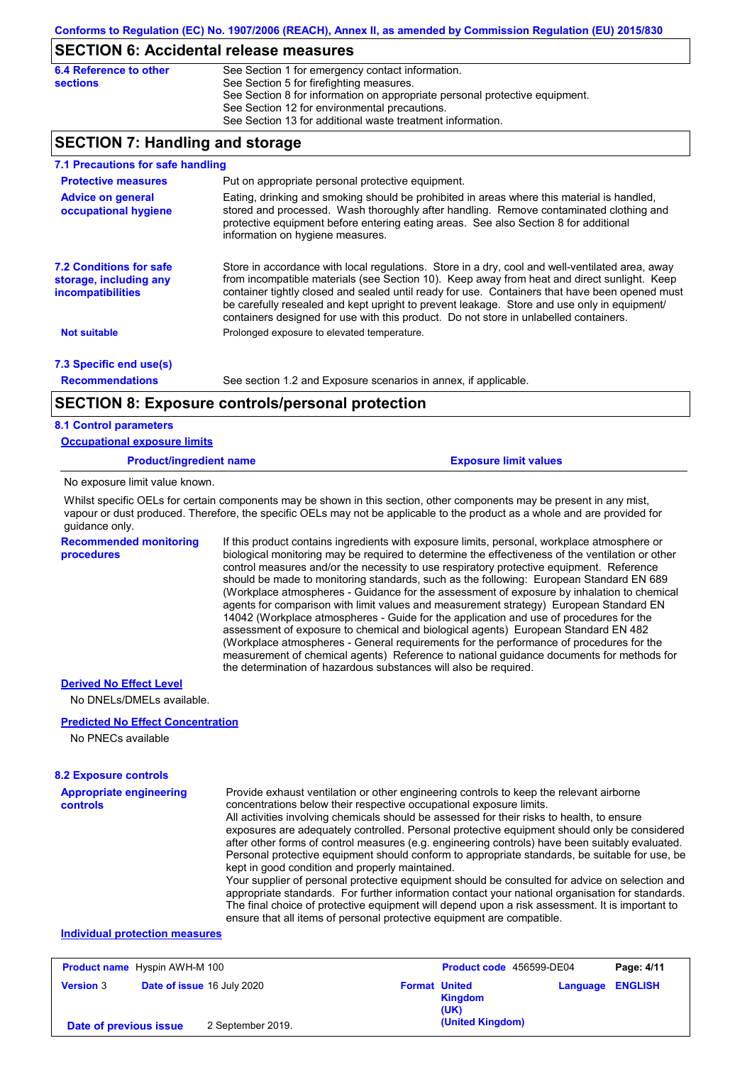### **SECTION 6: Accidental release measures**

| 6.4 Reference to other | See Section 1 for emergency contact information.                            |
|------------------------|-----------------------------------------------------------------------------|
| sections               | See Section 5 for firefighting measures.                                    |
|                        | See Section 8 for information on appropriate personal protective equipment. |
|                        | See Section 12 for environmental precautions.                               |
|                        | See Section 13 for additional waste treatment information.                  |

### **SECTION 7: Handling and storage**

| 7.1 Precautions for safe handling                                                    |                                                                                                                                                                                                                                                                                                                                                                                                                                                                                          |
|--------------------------------------------------------------------------------------|------------------------------------------------------------------------------------------------------------------------------------------------------------------------------------------------------------------------------------------------------------------------------------------------------------------------------------------------------------------------------------------------------------------------------------------------------------------------------------------|
| <b>Protective measures</b>                                                           | Put on appropriate personal protective equipment.                                                                                                                                                                                                                                                                                                                                                                                                                                        |
| <b>Advice on general</b><br>occupational hygiene                                     | Eating, drinking and smoking should be prohibited in areas where this material is handled,<br>stored and processed. Wash thoroughly after handling. Remove contaminated clothing and<br>protective equipment before entering eating areas. See also Section 8 for additional<br>information on hygiene measures.                                                                                                                                                                         |
| <b>7.2 Conditions for safe</b><br>storage, including any<br><b>incompatibilities</b> | Store in accordance with local regulations. Store in a dry, cool and well-ventilated area, away<br>from incompatible materials (see Section 10). Keep away from heat and direct sunlight. Keep<br>container tightly closed and sealed until ready for use. Containers that have been opened must<br>be carefully resealed and kept upright to prevent leakage. Store and use only in equipment/<br>containers designed for use with this product. Do not store in unlabelled containers. |
| <b>Not suitable</b>                                                                  | Prolonged exposure to elevated temperature.                                                                                                                                                                                                                                                                                                                                                                                                                                              |
| 7.3 Specific end use(s)                                                              |                                                                                                                                                                                                                                                                                                                                                                                                                                                                                          |
| <b>Recommendations</b>                                                               | See section 1.2 and Exposure scenarios in annex, if applicable.                                                                                                                                                                                                                                                                                                                                                                                                                          |
|                                                                                      | <b>SECTION 8: Exposure controls/personal protection</b>                                                                                                                                                                                                                                                                                                                                                                                                                                  |
| <b>8.1 Control parameters</b>                                                        |                                                                                                                                                                                                                                                                                                                                                                                                                                                                                          |
| <b>Occupational exposure limits</b>                                                  |                                                                                                                                                                                                                                                                                                                                                                                                                                                                                          |
| <b>Product/ingredient name</b>                                                       | <b>Exposure limit values</b>                                                                                                                                                                                                                                                                                                                                                                                                                                                             |
| No exposure limit value known.                                                       |                                                                                                                                                                                                                                                                                                                                                                                                                                                                                          |
|                                                                                      | Whilst specific OELs for certain components may be shown in this section, other components may be present in any mist,                                                                                                                                                                                                                                                                                                                                                                   |

vapour or dust produced. Therefore, the specific OELs may not be applicable to the product as a whole and are provided for guidance only.

**Recommended monitoring procedures**

If this product contains ingredients with exposure limits, personal, workplace atmosphere or biological monitoring may be required to determine the effectiveness of the ventilation or other control measures and/or the necessity to use respiratory protective equipment. Reference should be made to monitoring standards, such as the following: European Standard EN 689 (Workplace atmospheres - Guidance for the assessment of exposure by inhalation to chemical agents for comparison with limit values and measurement strategy) European Standard EN 14042 (Workplace atmospheres - Guide for the application and use of procedures for the assessment of exposure to chemical and biological agents) European Standard EN 482 (Workplace atmospheres - General requirements for the performance of procedures for the measurement of chemical agents) Reference to national guidance documents for methods for the determination of hazardous substances will also be required.

#### **Derived No Effect Level**

No DNELs/DMELs available.

#### **Predicted No Effect Concentration**

No PNECs available

#### **8.2 Exposure controls**

| <b>Appropriate engineering</b> | Provide exhaust ventilation or other engineering controls to keep the relevant airborne                                                                                                                                                                                                                                                                                         |
|--------------------------------|---------------------------------------------------------------------------------------------------------------------------------------------------------------------------------------------------------------------------------------------------------------------------------------------------------------------------------------------------------------------------------|
| controls                       | concentrations below their respective occupational exposure limits.                                                                                                                                                                                                                                                                                                             |
|                                | All activities involving chemicals should be assessed for their risks to health, to ensure<br>exposures are adequately controlled. Personal protective equipment should only be considered<br>after other forms of control measures (e.g. engineering controls) have been suitably evaluated.                                                                                   |
|                                | Personal protective equipment should conform to appropriate standards, be suitable for use, be<br>kept in good condition and properly maintained.                                                                                                                                                                                                                               |
|                                | Your supplier of personal protective equipment should be consulted for advice on selection and<br>appropriate standards. For further information contact your national organisation for standards.<br>The final choice of protective equipment will depend upon a risk assessment. It is important to<br>ensure that all items of personal protective equipment are compatible. |
| Individual protection measures |                                                                                                                                                                                                                                                                                                                                                                                 |

#### **Individual protection measures**

|                        | <b>Product name</b> Hyspin AWH-M 100 |                                   |                      | Product code 456599-DE04 |                         | Page: 4/11 |
|------------------------|--------------------------------------|-----------------------------------|----------------------|--------------------------|-------------------------|------------|
| <b>Version 3</b>       |                                      | <b>Date of issue 16 July 2020</b> | <b>Format United</b> | <b>Kingdom</b><br>(UK)   | <b>Language ENGLISH</b> |            |
| Date of previous issue |                                      | 2 September 2019.                 |                      | (United Kingdom)         |                         |            |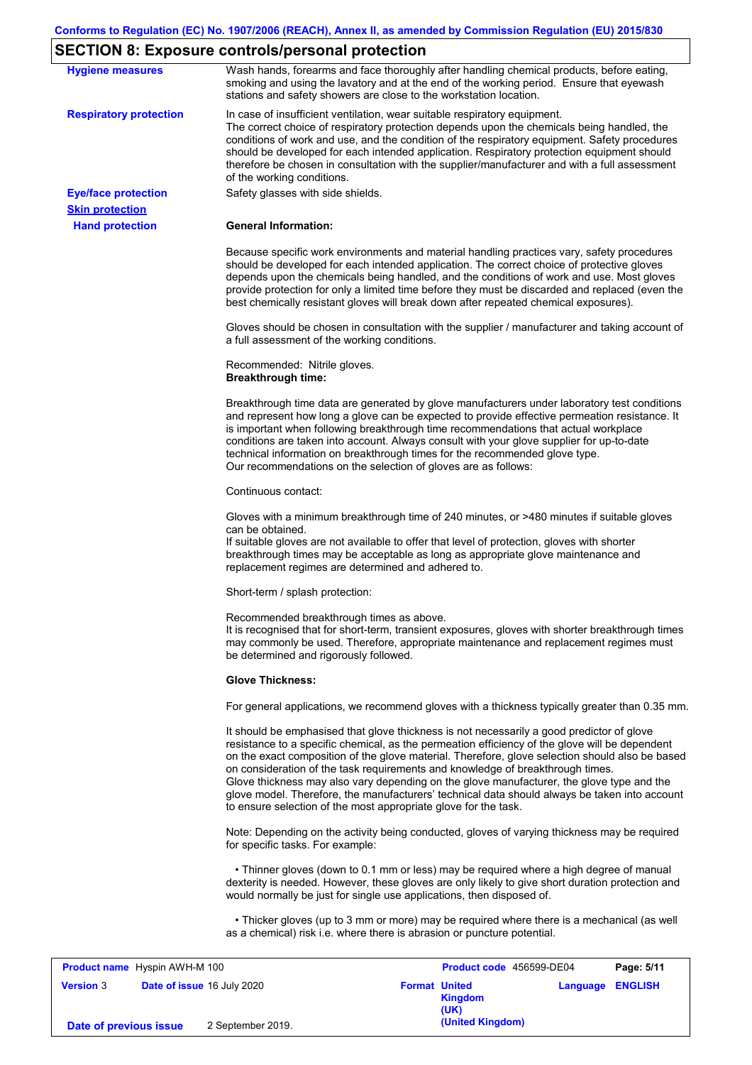## **SECTION 8: Exposure controls/personal protection**

| <b>Hygiene measures</b>              | Wash hands, forearms and face thoroughly after handling chemical products, before eating,<br>smoking and using the lavatory and at the end of the working period. Ensure that eyewash<br>stations and safety showers are close to the workstation location.                                                                                                                                                                                                                                                                                                                                                                                       |
|--------------------------------------|---------------------------------------------------------------------------------------------------------------------------------------------------------------------------------------------------------------------------------------------------------------------------------------------------------------------------------------------------------------------------------------------------------------------------------------------------------------------------------------------------------------------------------------------------------------------------------------------------------------------------------------------------|
| <b>Respiratory protection</b>        | In case of insufficient ventilation, wear suitable respiratory equipment.<br>The correct choice of respiratory protection depends upon the chemicals being handled, the<br>conditions of work and use, and the condition of the respiratory equipment. Safety procedures<br>should be developed for each intended application. Respiratory protection equipment should<br>therefore be chosen in consultation with the supplier/manufacturer and with a full assessment<br>of the working conditions.                                                                                                                                             |
| <b>Eye/face protection</b>           | Safety glasses with side shields.                                                                                                                                                                                                                                                                                                                                                                                                                                                                                                                                                                                                                 |
| <b>Skin protection</b>               |                                                                                                                                                                                                                                                                                                                                                                                                                                                                                                                                                                                                                                                   |
| <b>Hand protection</b>               | <b>General Information:</b>                                                                                                                                                                                                                                                                                                                                                                                                                                                                                                                                                                                                                       |
|                                      | Because specific work environments and material handling practices vary, safety procedures<br>should be developed for each intended application. The correct choice of protective gloves<br>depends upon the chemicals being handled, and the conditions of work and use. Most gloves<br>provide protection for only a limited time before they must be discarded and replaced (even the<br>best chemically resistant gloves will break down after repeated chemical exposures).                                                                                                                                                                  |
|                                      | Gloves should be chosen in consultation with the supplier / manufacturer and taking account of<br>a full assessment of the working conditions.                                                                                                                                                                                                                                                                                                                                                                                                                                                                                                    |
|                                      | Recommended: Nitrile gloves.<br><b>Breakthrough time:</b>                                                                                                                                                                                                                                                                                                                                                                                                                                                                                                                                                                                         |
|                                      | Breakthrough time data are generated by glove manufacturers under laboratory test conditions<br>and represent how long a glove can be expected to provide effective permeation resistance. It<br>is important when following breakthrough time recommendations that actual workplace<br>conditions are taken into account. Always consult with your glove supplier for up-to-date<br>technical information on breakthrough times for the recommended glove type.<br>Our recommendations on the selection of gloves are as follows:                                                                                                                |
|                                      | Continuous contact:                                                                                                                                                                                                                                                                                                                                                                                                                                                                                                                                                                                                                               |
|                                      | Gloves with a minimum breakthrough time of 240 minutes, or >480 minutes if suitable gloves<br>can be obtained.<br>If suitable gloves are not available to offer that level of protection, gloves with shorter<br>breakthrough times may be acceptable as long as appropriate glove maintenance and<br>replacement regimes are determined and adhered to.                                                                                                                                                                                                                                                                                          |
|                                      | Short-term / splash protection:                                                                                                                                                                                                                                                                                                                                                                                                                                                                                                                                                                                                                   |
|                                      | Recommended breakthrough times as above.<br>It is recognised that for short-term, transient exposures, gloves with shorter breakthrough times<br>may commonly be used. Therefore, appropriate maintenance and replacement regimes must<br>be determined and rigorously followed.                                                                                                                                                                                                                                                                                                                                                                  |
|                                      | <b>Glove Thickness:</b>                                                                                                                                                                                                                                                                                                                                                                                                                                                                                                                                                                                                                           |
|                                      | For general applications, we recommend gloves with a thickness typically greater than 0.35 mm.                                                                                                                                                                                                                                                                                                                                                                                                                                                                                                                                                    |
|                                      | It should be emphasised that glove thickness is not necessarily a good predictor of glove<br>resistance to a specific chemical, as the permeation efficiency of the glove will be dependent<br>on the exact composition of the glove material. Therefore, glove selection should also be based<br>on consideration of the task requirements and knowledge of breakthrough times.<br>Glove thickness may also vary depending on the glove manufacturer, the glove type and the<br>glove model. Therefore, the manufacturers' technical data should always be taken into account<br>to ensure selection of the most appropriate glove for the task. |
|                                      | Note: Depending on the activity being conducted, gloves of varying thickness may be required<br>for specific tasks. For example:                                                                                                                                                                                                                                                                                                                                                                                                                                                                                                                  |
|                                      | • Thinner gloves (down to 0.1 mm or less) may be required where a high degree of manual<br>dexterity is needed. However, these gloves are only likely to give short duration protection and<br>would normally be just for single use applications, then disposed of.                                                                                                                                                                                                                                                                                                                                                                              |
|                                      | • Thicker gloves (up to 3 mm or more) may be required where there is a mechanical (as well<br>as a chemical) risk i.e. where there is abrasion or puncture potential.                                                                                                                                                                                                                                                                                                                                                                                                                                                                             |
| <b>Product name</b> Hyspin AWH-M 100 | Page: 5/11<br>Product code 456599-DE04                                                                                                                                                                                                                                                                                                                                                                                                                                                                                                                                                                                                            |

| <b>Product name</b> Hyspin AWH-M 100 |                                   |                      | Product code 456599-DE04 |                         | Page: 5/11 |
|--------------------------------------|-----------------------------------|----------------------|--------------------------|-------------------------|------------|
| <b>Version 3</b>                     | <b>Date of issue 16 July 2020</b> | <b>Format United</b> | Kingdom<br>(UK)          | <b>Language ENGLISH</b> |            |
| Date of previous issue               | 2 September 2019.                 |                      | (United Kingdom)         |                         |            |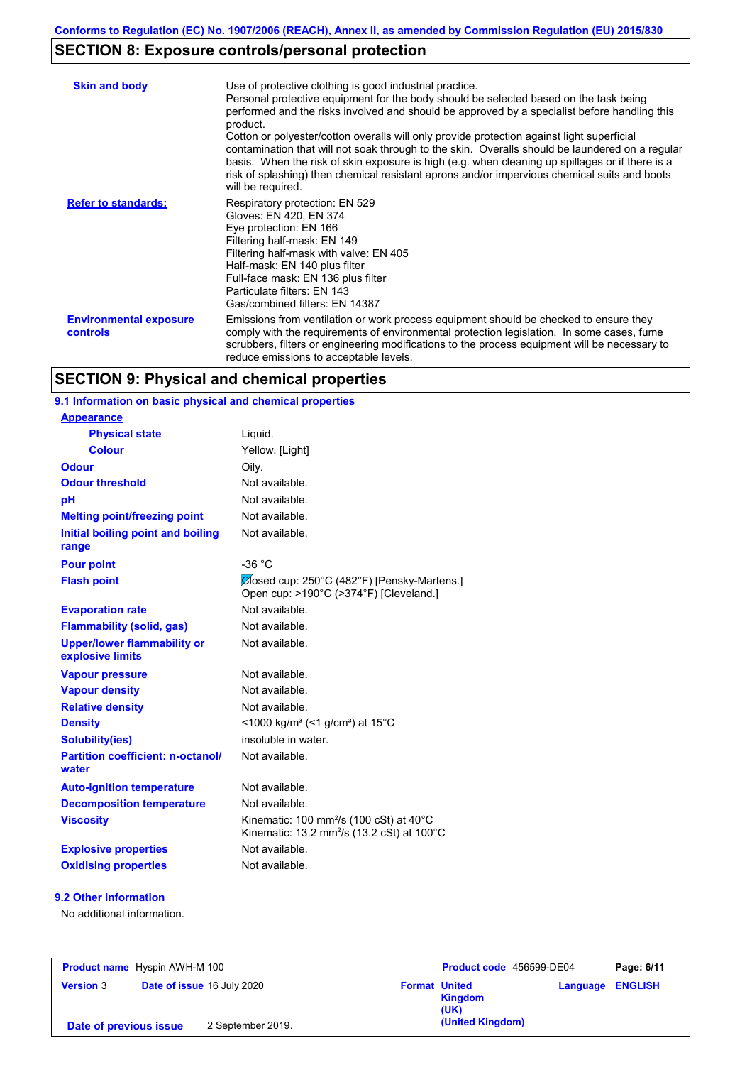## **SECTION 8: Exposure controls/personal protection**

| <b>Skin and body</b>                      | Use of protective clothing is good industrial practice.<br>Personal protective equipment for the body should be selected based on the task being<br>performed and the risks involved and should be approved by a specialist before handling this<br>product.<br>Cotton or polyester/cotton overalls will only provide protection against light superficial<br>contamination that will not soak through to the skin. Overalls should be laundered on a regular<br>basis. When the risk of skin exposure is high (e.g. when cleaning up spillages or if there is a<br>risk of splashing) then chemical resistant aprons and/or impervious chemical suits and boots<br>will be required. |
|-------------------------------------------|---------------------------------------------------------------------------------------------------------------------------------------------------------------------------------------------------------------------------------------------------------------------------------------------------------------------------------------------------------------------------------------------------------------------------------------------------------------------------------------------------------------------------------------------------------------------------------------------------------------------------------------------------------------------------------------|
| <b>Refer to standards:</b>                | Respiratory protection: EN 529<br>Gloves: EN 420, EN 374<br>Eye protection: EN 166<br>Filtering half-mask: EN 149<br>Filtering half-mask with valve: EN 405<br>Half-mask: EN 140 plus filter<br>Full-face mask: EN 136 plus filter<br>Particulate filters: EN 143<br>Gas/combined filters: EN 14387                                                                                                                                                                                                                                                                                                                                                                                   |
| <b>Environmental exposure</b><br>controls | Emissions from ventilation or work process equipment should be checked to ensure they<br>comply with the requirements of environmental protection legislation. In some cases, fume<br>scrubbers, filters or engineering modifications to the process equipment will be necessary to<br>reduce emissions to acceptable levels.                                                                                                                                                                                                                                                                                                                                                         |

## **SECTION 9: Physical and chemical properties**

### **9.1 Information on basic physical and chemical properties**

| <b>Appearance</b>                                      |                                                                                                                         |
|--------------------------------------------------------|-------------------------------------------------------------------------------------------------------------------------|
| <b>Physical state</b>                                  | Liquid.                                                                                                                 |
| <b>Colour</b>                                          | Yellow. [Light]                                                                                                         |
| Odour                                                  | Oily.                                                                                                                   |
| <b>Odour threshold</b>                                 | Not available.                                                                                                          |
| рH                                                     | Not available.                                                                                                          |
| <b>Melting point/freezing point</b>                    | Not available.                                                                                                          |
| Initial boiling point and boiling<br>range             | Not available.                                                                                                          |
| <b>Pour point</b>                                      | $-36 °C$                                                                                                                |
| <b>Flash point</b>                                     | Closed cup: 250°C (482°F) [Pensky-Martens.]<br>Open cup: >190°C (>374°F) [Cleveland.]                                   |
| <b>Evaporation rate</b>                                | Not available                                                                                                           |
| <b>Flammability (solid, gas)</b>                       | Not available.                                                                                                          |
| <b>Upper/lower flammability or</b><br>explosive limits | Not available.                                                                                                          |
| <b>Vapour pressure</b>                                 | Not available.                                                                                                          |
| <b>Vapour density</b>                                  | Not available.                                                                                                          |
| <b>Relative density</b>                                | Not available.                                                                                                          |
| <b>Density</b>                                         | $\leq$ 1000 kg/m <sup>3</sup> (<1 g/cm <sup>3</sup> ) at 15 <sup>°</sup> C                                              |
| <b>Solubility(ies)</b>                                 | insoluble in water.                                                                                                     |
| <b>Partition coefficient: n-octanol/</b><br>water      | Not available.                                                                                                          |
| <b>Auto-ignition temperature</b>                       | Not available.                                                                                                          |
| <b>Decomposition temperature</b>                       | Not available.                                                                                                          |
| <b>Viscosity</b>                                       | Kinematic: 100 mm <sup>2</sup> /s (100 cSt) at $40^{\circ}$ C<br>Kinematic: 13.2 mm <sup>2</sup> /s (13.2 cSt) at 100°C |
| <b>Explosive properties</b>                            | Not available.                                                                                                          |
| <b>Oxidising properties</b>                            | Not available.                                                                                                          |

### **9.2 Other information**

No additional information.

| <b>Product name</b> Hyspin AWH-M 100           |                   |                      | Product code 456599-DE04 |                         | Page: 6/11 |
|------------------------------------------------|-------------------|----------------------|--------------------------|-------------------------|------------|
| Date of issue 16 July 2020<br><b>Version 3</b> |                   | <b>Format United</b> | <b>Kingdom</b><br>(UK)   | <b>Language ENGLISH</b> |            |
| Date of previous issue                         | 2 September 2019. |                      | (United Kingdom)         |                         |            |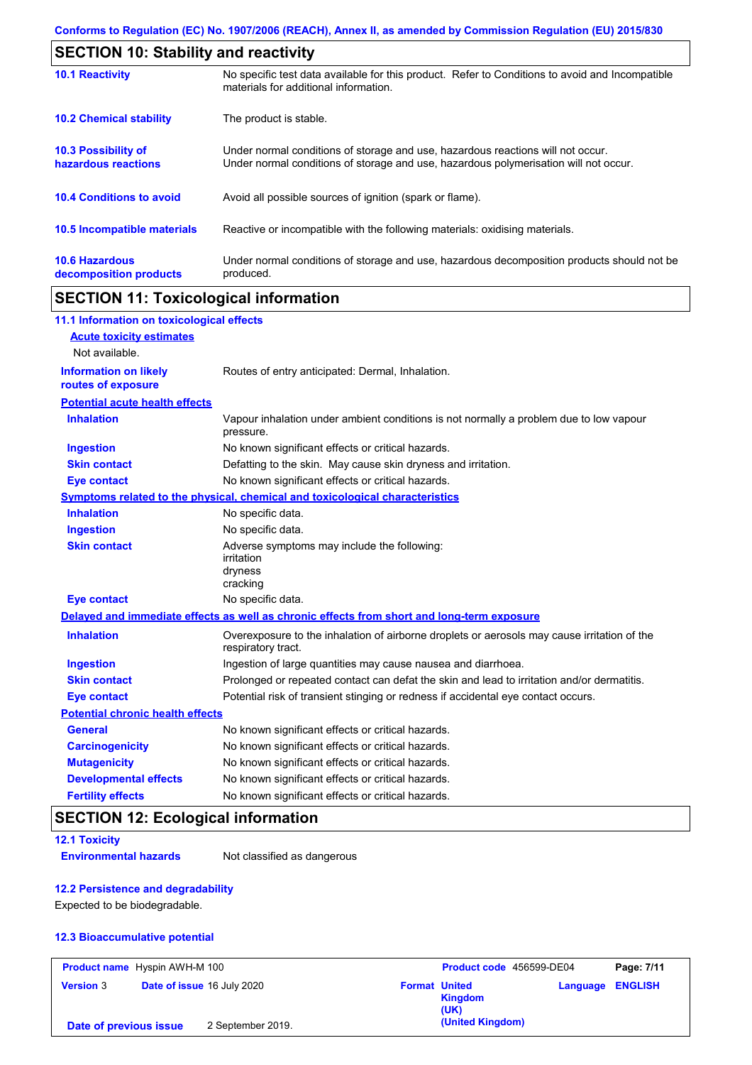| <b>SECTION 10: Stability and reactivity</b>       |                                                                                                                                                                         |  |
|---------------------------------------------------|-------------------------------------------------------------------------------------------------------------------------------------------------------------------------|--|
| <b>10.1 Reactivity</b>                            | No specific test data available for this product. Refer to Conditions to avoid and Incompatible<br>materials for additional information.                                |  |
| <b>10.2 Chemical stability</b>                    | The product is stable.                                                                                                                                                  |  |
| <b>10.3 Possibility of</b><br>hazardous reactions | Under normal conditions of storage and use, hazardous reactions will not occur.<br>Under normal conditions of storage and use, hazardous polymerisation will not occur. |  |
| <b>10.4 Conditions to avoid</b>                   | Avoid all possible sources of ignition (spark or flame).                                                                                                                |  |
| 10.5 Incompatible materials                       | Reactive or incompatible with the following materials: oxidising materials.                                                                                             |  |
| <b>10.6 Hazardous</b><br>decomposition products   | Under normal conditions of storage and use, hazardous decomposition products should not be<br>produced.                                                                 |  |

## **SECTION 11: Toxicological information**

| 11.1 Information on toxicological effects          |                                                                                                                   |
|----------------------------------------------------|-------------------------------------------------------------------------------------------------------------------|
| <b>Acute toxicity estimates</b>                    |                                                                                                                   |
| Not available.                                     |                                                                                                                   |
| <b>Information on likely</b><br>routes of exposure | Routes of entry anticipated: Dermal, Inhalation.                                                                  |
| <b>Potential acute health effects</b>              |                                                                                                                   |
| <b>Inhalation</b>                                  | Vapour inhalation under ambient conditions is not normally a problem due to low vapour<br>pressure.               |
| <b>Ingestion</b>                                   | No known significant effects or critical hazards.                                                                 |
| <b>Skin contact</b>                                | Defatting to the skin. May cause skin dryness and irritation.                                                     |
| <b>Eye contact</b>                                 | No known significant effects or critical hazards.                                                                 |
|                                                    | Symptoms related to the physical, chemical and toxicological characteristics                                      |
| <b>Inhalation</b>                                  | No specific data.                                                                                                 |
| <b>Ingestion</b>                                   | No specific data.                                                                                                 |
| <b>Skin contact</b>                                | Adverse symptoms may include the following:<br>irritation<br>dryness<br>cracking                                  |
| <b>Eye contact</b>                                 | No specific data.                                                                                                 |
|                                                    | Delayed and immediate effects as well as chronic effects from short and long-term exposure                        |
| <b>Inhalation</b>                                  | Overexposure to the inhalation of airborne droplets or aerosols may cause irritation of the<br>respiratory tract. |
| <b>Ingestion</b>                                   | Ingestion of large quantities may cause nausea and diarrhoea.                                                     |
| <b>Skin contact</b>                                | Prolonged or repeated contact can defat the skin and lead to irritation and/or dermatitis.                        |
| <b>Eye contact</b>                                 | Potential risk of transient stinging or redness if accidental eye contact occurs.                                 |
| <b>Potential chronic health effects</b>            |                                                                                                                   |
| <b>General</b>                                     | No known significant effects or critical hazards.                                                                 |
| <b>Carcinogenicity</b>                             | No known significant effects or critical hazards.                                                                 |
| <b>Mutagenicity</b>                                | No known significant effects or critical hazards.                                                                 |
| <b>Developmental effects</b>                       | No known significant effects or critical hazards.                                                                 |
| <b>Fertility effects</b>                           | No known significant effects or critical hazards.                                                                 |

## **SECTION 12: Ecological information**

**12.1 Toxicity**

**Environmental hazards** Not classified as dangerous

### **12.2 Persistence and degradability**

Expected to be biodegradable.

### **12.3 Bioaccumulative potential**

| <b>Product name</b> Hyspin AWH-M 100 |                            |                      | Product code 456599-DE04 |                         | Page: 7/11 |
|--------------------------------------|----------------------------|----------------------|--------------------------|-------------------------|------------|
| <b>Version 3</b>                     | Date of issue 16 July 2020 | <b>Format United</b> | <b>Kingdom</b><br>(UK)   | <b>Language ENGLISH</b> |            |
| Date of previous issue               | 2 September 2019.          |                      | (United Kingdom)         |                         |            |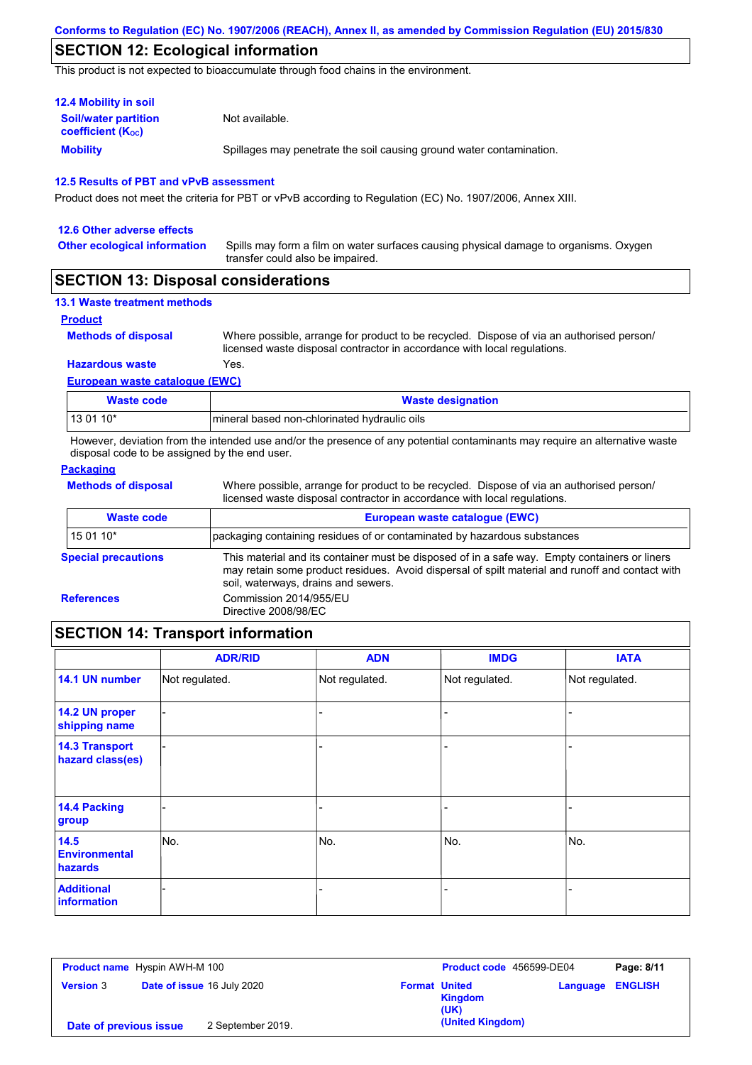### **SECTION 12: Ecological information**

This product is not expected to bioaccumulate through food chains in the environment.

| <b>12.4 Mobility in soil</b>                                  |                                                                      |
|---------------------------------------------------------------|----------------------------------------------------------------------|
| <b>Soil/water partition</b><br>coefficient (K <sub>oc</sub> ) | Not available.                                                       |
| <b>Mobility</b>                                               | Spillages may penetrate the soil causing ground water contamination. |

#### **12.5 Results of PBT and vPvB assessment**

Product does not meet the criteria for PBT or vPvB according to Regulation (EC) No. 1907/2006, Annex XIII.

| 12.6 Other adverse effects          |                                                                                                                           |
|-------------------------------------|---------------------------------------------------------------------------------------------------------------------------|
| <b>Other ecological information</b> | Spills may form a film on water surfaces causing physical damage to organisms. Oxygen<br>transfer could also be impaired. |

### **SECTION 13: Disposal considerations**

|  | <b>13.1 Waste treatment methods</b> |  |
|--|-------------------------------------|--|
|  |                                     |  |

### **Product**

**Methods of disposal**

Where possible, arrange for product to be recycled. Dispose of via an authorised person/ licensed waste disposal contractor in accordance with local regulations.

### **European waste catalogue (EWC) Hazardous waste** Yes.

| Waste code  | <b>Waste designation</b>                     |
|-------------|----------------------------------------------|
| l 13 01 10* | mineral based non-chlorinated hydraulic oils |

However, deviation from the intended use and/or the presence of any potential contaminants may require an alternative waste disposal code to be assigned by the end user.

### **Packaging**

**Methods of disposal**

Where possible, arrange for product to be recycled. Dispose of via an authorised person/ licensed waste disposal contractor in accordance with local regulations.

| <b>Waste code</b>          | European waste catalogue (EWC)                                                                                                                                                                                                          |  |  |  |
|----------------------------|-----------------------------------------------------------------------------------------------------------------------------------------------------------------------------------------------------------------------------------------|--|--|--|
| 15 01 10*                  | packaging containing residues of or contaminated by hazardous substances                                                                                                                                                                |  |  |  |
| <b>Special precautions</b> | This material and its container must be disposed of in a safe way. Empty containers or liners<br>may retain some product residues. Avoid dispersal of spilt material and runoff and contact with<br>soil, waterways, drains and sewers. |  |  |  |
| <b>References</b>          | Commission 2014/955/EU<br>Directive 2008/98/EC                                                                                                                                                                                          |  |  |  |
|                            |                                                                                                                                                                                                                                         |  |  |  |

## **SECTION 14: Transport information**

|                                           | <b>ADR/RID</b> | <b>ADN</b>     | <b>IMDG</b>    | <b>IATA</b>    |
|-------------------------------------------|----------------|----------------|----------------|----------------|
| 14.1 UN number                            | Not regulated. | Not regulated. | Not regulated. | Not regulated. |
| 14.2 UN proper<br>shipping name           |                |                | -              |                |
| <b>14.3 Transport</b><br>hazard class(es) |                |                | -              |                |
| 14.4 Packing<br>group                     |                |                | -              |                |
| 14.5<br><b>Environmental</b><br>hazards   | No.            | No.            | No.            | No.            |
| <b>Additional</b><br><b>information</b>   |                |                |                |                |

| <b>Product name</b> Hyspin AWH-M 100 |                            |                   |                      | Product code 456599-DE04 |                         | Page: 8/11 |
|--------------------------------------|----------------------------|-------------------|----------------------|--------------------------|-------------------------|------------|
| <b>Version 3</b>                     | Date of issue 16 July 2020 |                   | <b>Format United</b> | <b>Kingdom</b><br>(UK)   | <b>Language ENGLISH</b> |            |
| Date of previous issue               |                            | 2 September 2019. |                      | (United Kingdom)         |                         |            |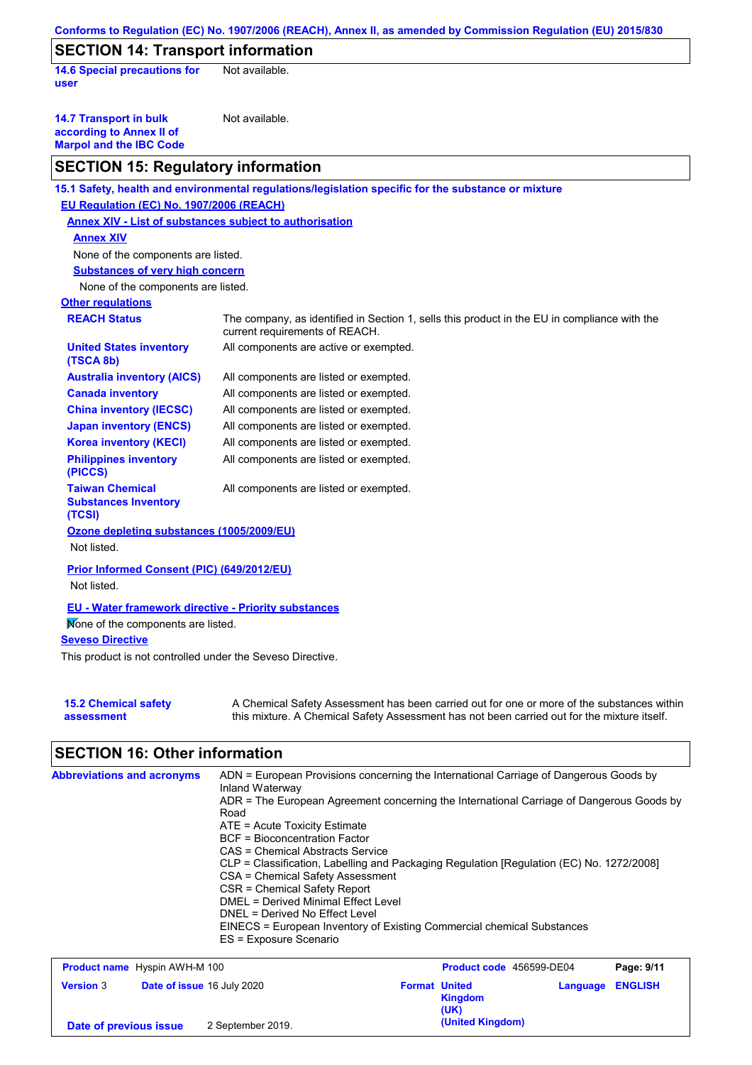|                                                                                                                              | Conforms to Regulation (EC) No. 1907/2006 (REACH), Annex II, as amended by Commission Regulation (EU) 2015/830                                                                            |
|------------------------------------------------------------------------------------------------------------------------------|-------------------------------------------------------------------------------------------------------------------------------------------------------------------------------------------|
| <b>SECTION 14: Transport information</b>                                                                                     |                                                                                                                                                                                           |
| <b>14.6 Special precautions for</b><br>user                                                                                  | Not available.                                                                                                                                                                            |
| <b>14.7 Transport in bulk</b><br>according to Annex II of<br><b>Marpol and the IBC Code</b>                                  | Not available.                                                                                                                                                                            |
| <b>SECTION 15: Regulatory information</b>                                                                                    |                                                                                                                                                                                           |
|                                                                                                                              | 15.1 Safety, health and environmental regulations/legislation specific for the substance or mixture                                                                                       |
| EU Regulation (EC) No. 1907/2006 (REACH)                                                                                     |                                                                                                                                                                                           |
| <b>Annex XIV - List of substances subject to authorisation</b>                                                               |                                                                                                                                                                                           |
| <b>Annex XIV</b>                                                                                                             |                                                                                                                                                                                           |
| None of the components are listed.                                                                                           |                                                                                                                                                                                           |
| <b>Substances of very high concern</b>                                                                                       |                                                                                                                                                                                           |
| None of the components are listed.                                                                                           |                                                                                                                                                                                           |
| <b>Other regulations</b>                                                                                                     |                                                                                                                                                                                           |
| <b>REACH Status</b>                                                                                                          | The company, as identified in Section 1, sells this product in the EU in compliance with the<br>current requirements of REACH.                                                            |
| <b>United States inventory</b><br>(TSCA 8b)                                                                                  | All components are active or exempted.                                                                                                                                                    |
| <b>Australia inventory (AICS)</b>                                                                                            | All components are listed or exempted.                                                                                                                                                    |
| <b>Canada inventory</b>                                                                                                      | All components are listed or exempted.                                                                                                                                                    |
| <b>China inventory (IECSC)</b>                                                                                               | All components are listed or exempted.                                                                                                                                                    |
| <b>Japan inventory (ENCS)</b>                                                                                                | All components are listed or exempted.                                                                                                                                                    |
| <b>Korea inventory (KECI)</b>                                                                                                | All components are listed or exempted.                                                                                                                                                    |
| <b>Philippines inventory</b><br>(PICCS)                                                                                      | All components are listed or exempted.                                                                                                                                                    |
| <b>Taiwan Chemical</b><br><b>Substances Inventory</b><br>(TCSI)                                                              | All components are listed or exempted.                                                                                                                                                    |
| Ozone depleting substances (1005/2009/EU)<br>Not listed.                                                                     |                                                                                                                                                                                           |
| Prior Informed Consent (PIC) (649/2012/EU)<br>Not listed.                                                                    |                                                                                                                                                                                           |
| <b>EU - Water framework directive - Priority substances</b><br>Mone of the components are listed.<br><b>Seveso Directive</b> |                                                                                                                                                                                           |
| This product is not controlled under the Seveso Directive.                                                                   |                                                                                                                                                                                           |
| <b>15.2 Chemical safety</b><br>assessment                                                                                    | A Chemical Safety Assessment has been carried out for one or more of the substances within<br>this mixture. A Chemical Safety Assessment has not been carried out for the mixture itself. |

## **SECTION 16: Other information**

| <b>Abbreviations and acronyms</b> | ADN = European Provisions concerning the International Carriage of Dangerous Goods by<br>Inland Waterway<br>ADR = The European Agreement concerning the International Carriage of Dangerous Goods by<br>Road<br>$ATE = Acute Toxicity Estimate$<br>BCF = Bioconcentration Factor<br>CAS = Chemical Abstracts Service<br>CLP = Classification, Labelling and Packaging Regulation [Regulation (EC) No. 1272/2008]<br>CSA = Chemical Safety Assessment<br>CSR = Chemical Safety Report<br>DMEL = Derived Minimal Effect Level<br>DNEL = Derived No Effect Level<br>EINECS = European Inventory of Existing Commercial chemical Substances<br>ES = Exposure Scenario |
|-----------------------------------|-------------------------------------------------------------------------------------------------------------------------------------------------------------------------------------------------------------------------------------------------------------------------------------------------------------------------------------------------------------------------------------------------------------------------------------------------------------------------------------------------------------------------------------------------------------------------------------------------------------------------------------------------------------------|
|                                   |                                                                                                                                                                                                                                                                                                                                                                                                                                                                                                                                                                                                                                                                   |

| <b>Product name</b> Hyspin AWH-M 100 |                                   | Product code 456599-DE04                |                         | Page: 9/11 |
|--------------------------------------|-----------------------------------|-----------------------------------------|-------------------------|------------|
| <b>Version 3</b>                     | <b>Date of issue 16 July 2020</b> | <b>Format United</b><br>Kingdom<br>(UK) | <b>Language ENGLISH</b> |            |
| Date of previous issue               | 2 September 2019.                 | (United Kingdom)                        |                         |            |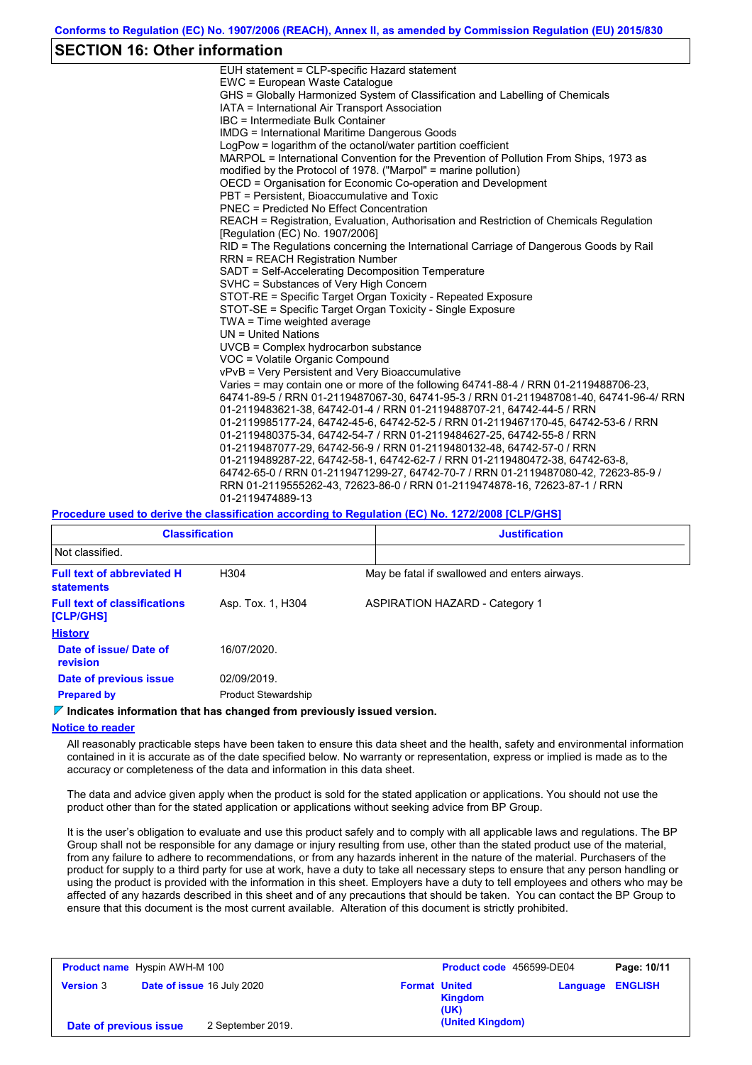### **SECTION 16: Other information**

| EUH statement = CLP-specific Hazard statement                                           |
|-----------------------------------------------------------------------------------------|
| EWC = European Waste Catalogue                                                          |
| GHS = Globally Harmonized System of Classification and Labelling of Chemicals           |
| IATA = International Air Transport Association                                          |
| IBC = Intermediate Bulk Container                                                       |
| <b>IMDG = International Maritime Dangerous Goods</b>                                    |
| LogPow = logarithm of the octanol/water partition coefficient                           |
| MARPOL = International Convention for the Prevention of Pollution From Ships, 1973 as   |
| modified by the Protocol of 1978. ("Marpol" = marine pollution)                         |
| OECD = Organisation for Economic Co-operation and Development                           |
| PBT = Persistent. Bioaccumulative and Toxic                                             |
| <b>PNEC = Predicted No Effect Concentration</b>                                         |
| REACH = Registration, Evaluation, Authorisation and Restriction of Chemicals Regulation |
| [Regulation (EC) No. 1907/2006]                                                         |
| RID = The Regulations concerning the International Carriage of Dangerous Goods by Rail  |
| <b>RRN = REACH Registration Number</b>                                                  |
| SADT = Self-Accelerating Decomposition Temperature                                      |
| SVHC = Substances of Very High Concern                                                  |
| STOT-RE = Specific Target Organ Toxicity - Repeated Exposure                            |
| STOT-SE = Specific Target Organ Toxicity - Single Exposure                              |
| TWA = Time weighted average                                                             |
| $UN = United Nations$                                                                   |
| $UVCB = Complex\;hydrocarbon\; substance$                                               |
| VOC = Volatile Organic Compound                                                         |
| vPvB = Very Persistent and Very Bioaccumulative                                         |
| Varies = may contain one or more of the following 64741-88-4 / RRN 01-2119488706-23,    |
| 64741-89-5 / RRN 01-2119487067-30, 64741-95-3 / RRN 01-2119487081-40, 64741-96-4/ RRN   |
| 01-2119483621-38, 64742-01-4 / RRN 01-2119488707-21, 64742-44-5 / RRN                   |
| 01-2119985177-24, 64742-45-6, 64742-52-5 / RRN 01-2119467170-45, 64742-53-6 / RRN       |
| 01-2119480375-34, 64742-54-7 / RRN 01-2119484627-25, 64742-55-8 / RRN                   |
| 01-2119487077-29, 64742-56-9 / RRN 01-2119480132-48, 64742-57-0 / RRN                   |
| 01-2119489287-22, 64742-58-1, 64742-62-7 / RRN 01-2119480472-38, 64742-63-8,            |
| 64742-65-0 / RRN 01-2119471299-27, 64742-70-7 / RRN 01-2119487080-42, 72623-85-9 /      |
| RRN 01-2119555262-43, 72623-86-0 / RRN 01-2119474878-16, 72623-87-1 / RRN               |
| 01-2119474889-13                                                                        |
|                                                                                         |

#### **Procedure used to derive the classification according to Regulation (EC) No. 1272/2008 [CLP/GHS]**

| <b>Classification</b>                                  |                            | <b>Justification</b>                          |
|--------------------------------------------------------|----------------------------|-----------------------------------------------|
| Not classified.                                        |                            |                                               |
| <b>Full text of abbreviated H</b><br><b>statements</b> | H304                       | May be fatal if swallowed and enters airways. |
| <b>Full text of classifications</b><br>[CLP/GHS]       | Asp. Tox. 1, H304          | <b>ASPIRATION HAZARD - Category 1</b>         |
| <b>History</b>                                         |                            |                                               |
| Date of issue/Date of<br>revision                      | 16/07/2020.                |                                               |
| Date of previous issue                                 | 02/09/2019.                |                                               |
| <b>Prepared by</b>                                     | <b>Product Stewardship</b> |                                               |

### **Indicates information that has changed from previously issued version.**

#### **Notice to reader**

All reasonably practicable steps have been taken to ensure this data sheet and the health, safety and environmental information contained in it is accurate as of the date specified below. No warranty or representation, express or implied is made as to the accuracy or completeness of the data and information in this data sheet.

The data and advice given apply when the product is sold for the stated application or applications. You should not use the product other than for the stated application or applications without seeking advice from BP Group.

It is the user's obligation to evaluate and use this product safely and to comply with all applicable laws and regulations. The BP Group shall not be responsible for any damage or injury resulting from use, other than the stated product use of the material, from any failure to adhere to recommendations, or from any hazards inherent in the nature of the material. Purchasers of the product for supply to a third party for use at work, have a duty to take all necessary steps to ensure that any person handling or using the product is provided with the information in this sheet. Employers have a duty to tell employees and others who may be affected of any hazards described in this sheet and of any precautions that should be taken. You can contact the BP Group to ensure that this document is the most current available. Alteration of this document is strictly prohibited.

| <b>Product name</b> Hyspin AWH-M 100 |  |                                   |                      | Product code 456599-DE04 |                         | Page: 10/11 |
|--------------------------------------|--|-----------------------------------|----------------------|--------------------------|-------------------------|-------------|
| <b>Version 3</b>                     |  | <b>Date of issue 16 July 2020</b> | <b>Format United</b> | <b>Kingdom</b><br>(UK)   | <b>Language ENGLISH</b> |             |
| Date of previous issue               |  | 2 September 2019.                 |                      | (United Kingdom)         |                         |             |